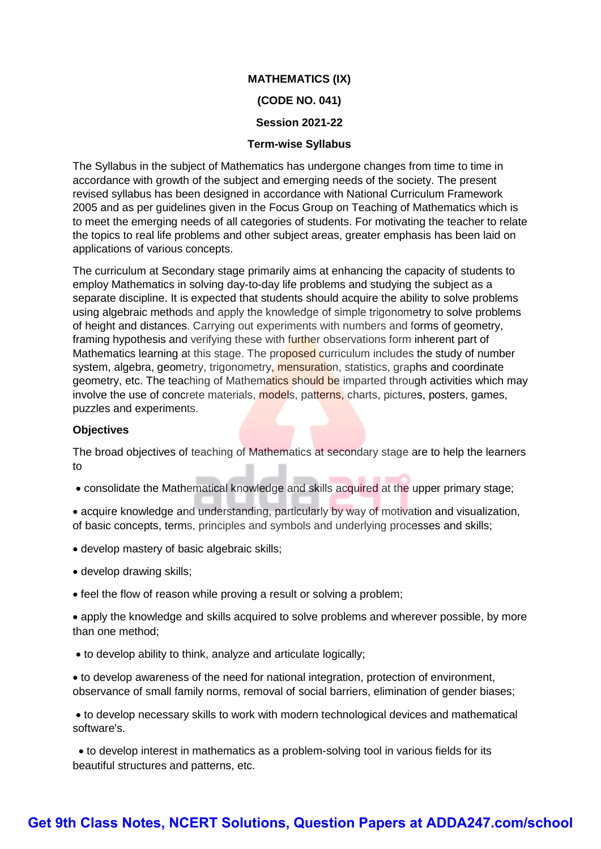# **MATHEMATICS (IX) (CODE NO. 041)**

#### **Session 2021-22**

#### **Term-wise Syllabus**

The Syllabus in the subject of Mathematics has undergone changes from time to time in accordance with growth of the subject and emerging needs of the society. The present revised syllabus has been designed in accordance with National Curriculum Framework 2005 and as per guidelines given in the Focus Group on Teaching of Mathematics which is to meet the emerging needs of all categories of students. For motivating the teacher to relate the topics to real life problems and other subject areas, greater emphasis has been laid on applications of various concepts.

The curriculum at Secondary stage primarily aims at enhancing the capacity of students to employ Mathematics in solving day-to-day life problems and studying the subject as a separate discipline. It is expected that students should acquire the ability to solve problems using algebraic methods and apply the knowledge of simple trigonometry to solve problems of height and distances. Carrying out experiments with numbers and forms of geometry, framing hypothesis and verifying these with further observations form inherent part of Mathematics learning at this stage. The proposed curriculum includes the study of number system, algebra, geometry, trigonometry, mensuration, statistics, graphs and coordinate geometry, etc. The teaching of Mathematics should be imparted through activities which may involve the use of concrete materials, models, patterns, charts, pictures, posters, games, puzzles and experiments.

#### **Objectives**

The broad objectives of teaching of Mathematics at secondary stage are to help the learners to

consolidate the Mathematical knowledge and skills acquired at the upper primary stage;

 acquire knowledge and understanding, particularly by way of motivation and visualization, of basic concepts, terms, principles and symbols and underlying processes and skills;

- develop mastery of basic algebraic skills;
- develop drawing skills;
- feel the flow of reason while proving a result or solving a problem;

 apply the knowledge and skills acquired to solve problems and wherever possible, by more than one method;

to develop ability to think, analyze and articulate logically;

 to develop awareness of the need for national integration, protection of environment, observance of small family norms, removal of social barriers, elimination of gender biases;

 to develop necessary skills to work with modern technological devices and mathematical software's.

 to develop interest in mathematics as a problem-solving tool in various fields for its beautiful structures and patterns, etc.

# **[Get 9th Class Notes, NCERT Solutions, Question Papers at ADDA247.com/school](https://www.adda247.com/school/)**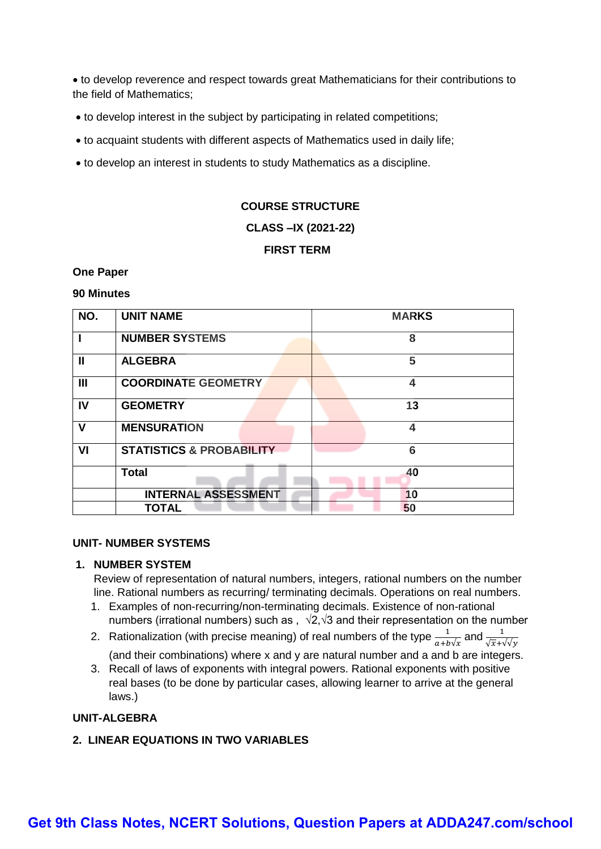to develop reverence and respect towards great Mathematicians for their contributions to the field of Mathematics;

- to develop interest in the subject by participating in related competitions;
- to acquaint students with different aspects of Mathematics used in daily life;
- to develop an interest in students to study Mathematics as a discipline.

#### **COURSE STRUCTURE**

#### **CLASS –IX (2021-22)**

## **FIRST TERM**

#### **One Paper**

#### **90 Minutes**

| NO.            | <b>UNIT NAME</b>                    | <b>MARKS</b>            |
|----------------|-------------------------------------|-------------------------|
|                | <b>NUMBER SYSTEMS</b>               | 8                       |
| $\mathbf{I}$   | <b>ALGEBRA</b>                      | 5                       |
| $\mathbf{III}$ | <b>COORDINATE GEOMETRY</b>          | 4                       |
| IV             | <b>GEOMETRY</b>                     | 13                      |
| $\mathbf v$    | <b>MENSURATION</b>                  | $\overline{\mathbf{4}}$ |
| VI             | <b>STATISTICS &amp; PROBABILITY</b> | 6                       |
|                | <b>Total</b>                        | 40                      |
|                | <b>INTERNAL ASSESSMENT</b>          | 10                      |
|                | <b>TOTAL</b>                        | 50                      |

#### **UNIT- NUMBER SYSTEMS**

#### **1. NUMBER SYSTEM**

Review of representation of natural numbers, integers, rational numbers on the number line. Rational numbers as recurring/ terminating decimals. Operations on real numbers.

- 1. Examples of non-recurring/non-terminating decimals. Existence of non-rational numbers (irrational numbers) such as ,  $\sqrt{2}$ , $\sqrt{3}$  and their representation on the number
- 2. Rationalization (with precise meaning) of real numbers of the type  $\frac{1}{\epsilon + h}$  $\frac{1}{a+b\sqrt{x}}$  and  $\frac{1}{\sqrt{x}+\sqrt{y}}$ (and their combinations) where x and y are natural number and a and b are integers.
- 3. Recall of laws of exponents with integral powers. Rational exponents with positive real bases (to be done by particular cases, allowing learner to arrive at the general laws.)

#### **UNIT-ALGEBRA**

#### **2. LINEAR EQUATIONS IN TWO VARIABLES**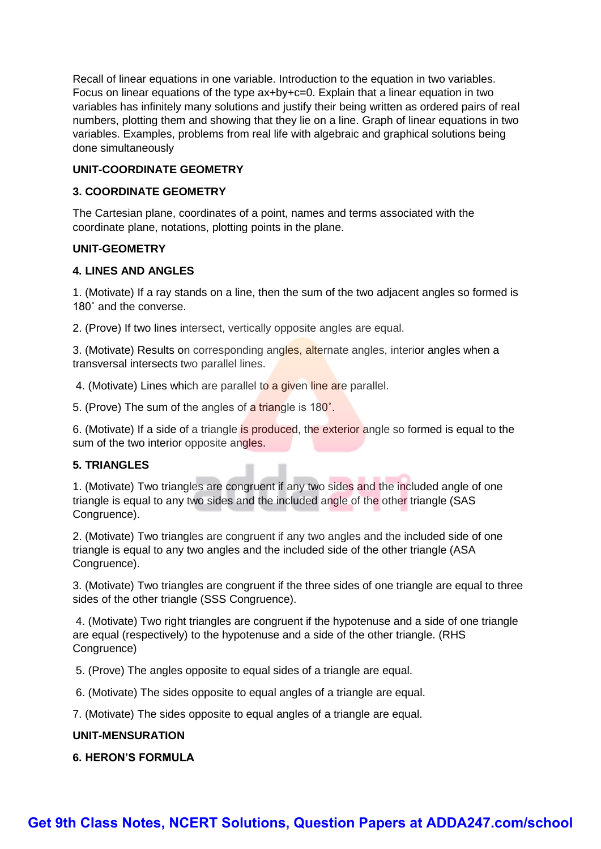Recall of linear equations in one variable. Introduction to the equation in two variables. Focus on linear equations of the type ax+by+c=0. Explain that a linear equation in two variables has infinitely many solutions and justify their being written as ordered pairs of real numbers, plotting them and showing that they lie on a line. Graph of linear equations in two variables. Examples, problems from real life with algebraic and graphical solutions being done simultaneously

## **UNIT-COORDINATE GEOMETRY**

#### **3. COORDINATE GEOMETRY**

The Cartesian plane, coordinates of a point, names and terms associated with the coordinate plane, notations, plotting points in the plane.

#### **UNIT-GEOMETRY**

#### **4. LINES AND ANGLES**

1. (Motivate) If a ray stands on a line, then the sum of the two adjacent angles so formed is 180˚ and the converse.

2. (Prove) If two lines intersect, vertically opposite angles are equal.

3. (Motivate) Results on corresponding angles, alternate angles, interior angles when a transversal intersects two parallel lines.

4. (Motivate) Lines which are parallel to a given line are parallel.

5. (Prove) The sum of the angles of a triangle is 180˚.

6. (Motivate) If a side of a triangle is produced, the exterior angle so formed is equal to the sum of the two interior opposite angles.

#### **5. TRIANGLES**

1. (Motivate) Two triangles are congruent if any two sides and the included angle of one triangle is equal to any two sides and the included angle of the other triangle (SAS Congruence).

2. (Motivate) Two triangles are congruent if any two angles and the included side of one triangle is equal to any two angles and the included side of the other triangle (ASA Congruence).

3. (Motivate) Two triangles are congruent if the three sides of one triangle are equal to three sides of the other triangle (SSS Congruence).

4. (Motivate) Two right triangles are congruent if the hypotenuse and a side of one triangle are equal (respectively) to the hypotenuse and a side of the other triangle. (RHS Congruence)

5. (Prove) The angles opposite to equal sides of a triangle are equal.

6. (Motivate) The sides opposite to equal angles of a triangle are equal.

7. (Motivate) The sides opposite to equal angles of a triangle are equal.

#### **UNIT-MENSURATION**

**6. HERON'S FORMULA**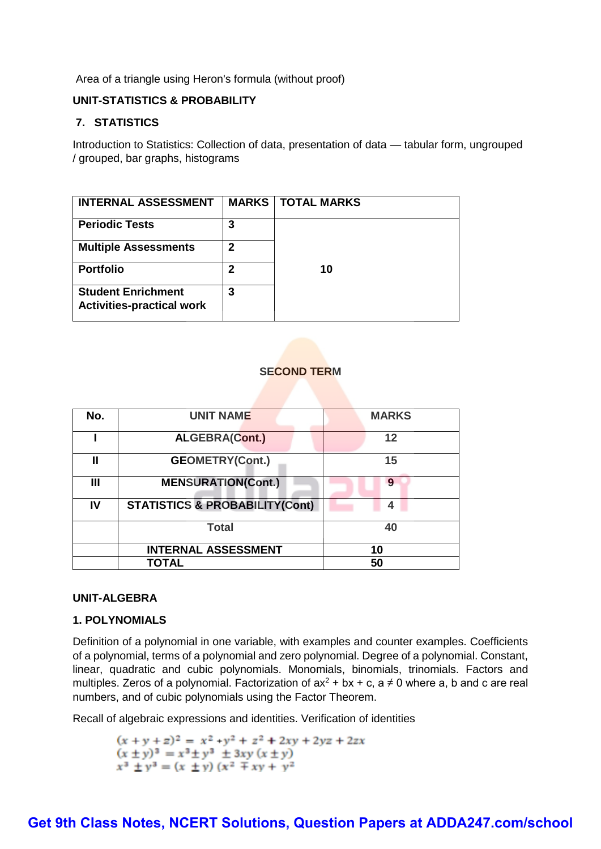Area of a triangle using Heron's formula (without proof)

## **UNIT-STATISTICS & PROBABILITY**

## **7. STATISTICS**

Introduction to Statistics: Collection of data, presentation of data — tabular form, ungrouped / grouped, bar graphs, histograms

| <b>INTERNAL ASSESSMENT</b>                                    |   | <b>MARKS   TOTAL MARKS</b> |
|---------------------------------------------------------------|---|----------------------------|
| <b>Periodic Tests</b>                                         | 3 |                            |
| <b>Multiple Assessments</b>                                   | 2 |                            |
| <b>Portfolio</b>                                              | 2 | 10                         |
| <b>Student Enrichment</b><br><b>Activities-practical work</b> | 3 |                            |

## **SECOND TERM**

| No. | <b>UNIT NAME</b>                          | <b>MARKS</b> |
|-----|-------------------------------------------|--------------|
|     | <b>ALGEBRA(Cont.)</b>                     | 12           |
| Ш   | <b>GEOMETRY(Cont.)</b>                    | 15           |
| Ш   | <b>MENSURATION(Cont.)</b>                 | 9            |
| IV  | <b>STATISTICS &amp; PROBABILITY(Cont)</b> | 4            |
|     | <b>Total</b>                              | 40           |
|     | <b>INTERNAL ASSESSMENT</b>                | 10           |
|     | TOTAL                                     | 50           |

#### **UNIT-ALGEBRA**

#### **1. POLYNOMIALS**

Definition of a polynomial in one variable, with examples and counter examples. Coefficients of a polynomial, terms of a polynomial and zero polynomial. Degree of a polynomial. Constant, linear, quadratic and cubic polynomials. Monomials, binomials, trinomials. Factors and multiples. Zeros of a polynomial. Factorization of  $ax^2 + bx + c$ , a  $\neq 0$  where a, b and c are real numbers, and of cubic polynomials using the Factor Theorem.

Recall of algebraic expressions and identities. Verification of identities

 $(x + y + z)^2 = x^2 + y^2 + z^2 + 2xy + 2yz + 2zx$  $(x \pm y)^3 = x^3 \pm y^3 \pm 3xy (x \pm y)$  $x^3 \pm y^3 = (x \pm y) (x^2 \mp xy + y^2)$ 

## **[Get 9th Class Notes, NCERT Solutions, Question Papers at ADDA247.com/school](https://www.adda247.com/school/)**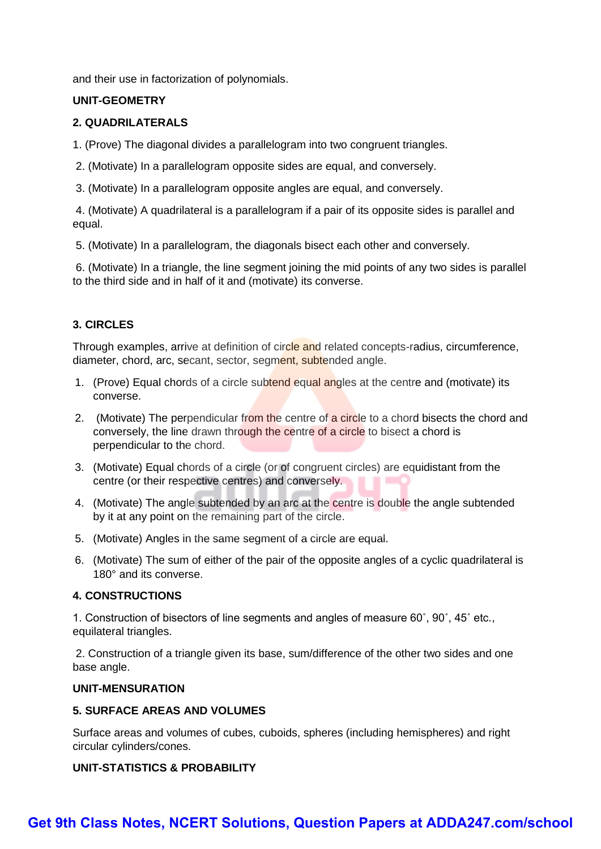and their use in factorization of polynomials.

#### **UNIT-GEOMETRY**

#### **2. QUADRILATERALS**

1. (Prove) The diagonal divides a parallelogram into two congruent triangles.

- 2. (Motivate) In a parallelogram opposite sides are equal, and conversely.
- 3. (Motivate) In a parallelogram opposite angles are equal, and conversely.

4. (Motivate) A quadrilateral is a parallelogram if a pair of its opposite sides is parallel and equal.

5. (Motivate) In a parallelogram, the diagonals bisect each other and conversely.

6. (Motivate) In a triangle, the line segment joining the mid points of any two sides is parallel to the third side and in half of it and (motivate) its converse.

## **3. CIRCLES**

Through examples, arrive at definition of circle and related concepts-radius, circumference, diameter, chord, arc, secant, sector, segment, subtended angle.

- 1. (Prove) Equal chords of a circle subtend equal angles at the centre and (motivate) its converse.
- 2. (Motivate) The perpendicular from the centre of a circle to a chord bisects the chord and conversely, the line drawn through the centre of a circle to bisect a chord is perpendicular to the chord.
- 3. (Motivate) Equal chords of a circle (or of congruent circles) are equidistant from the centre (or their respective centres) and conversely.
- 4. (Motivate) The angle subtended by an arc at the centre is double the angle subtended by it at any point on the remaining part of the circle.
- 5. (Motivate) Angles in the same segment of a circle are equal.
- 6. (Motivate) The sum of either of the pair of the opposite angles of a cyclic quadrilateral is 180° and its converse.

#### **4. CONSTRUCTIONS**

1. Construction of bisectors of line segments and angles of measure 60˚, 90˚, 45˚ etc., equilateral triangles.

2. Construction of a triangle given its base, sum/difference of the other two sides and one base angle.

#### **UNIT-MENSURATION**

#### **5. SURFACE AREAS AND VOLUMES**

Surface areas and volumes of cubes, cuboids, spheres (including hemispheres) and right circular cylinders/cones.

## **UNIT-STATISTICS & PROBABILITY**

## **[Get 9th Class Notes, NCERT Solutions, Question Papers at ADDA247.com/school](https://www.adda247.com/school/)**